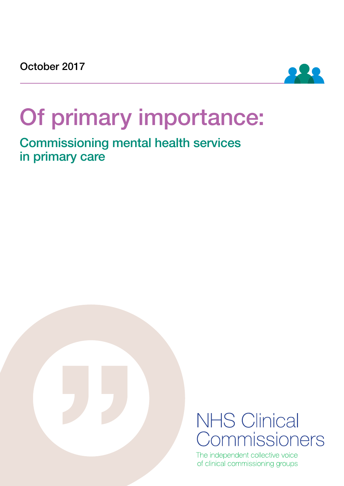

# Of primary importance:

Commissioning mental health services in primary care



## **NHS Clinical** Commissioners

The independent collective voice of clinical commissioning groups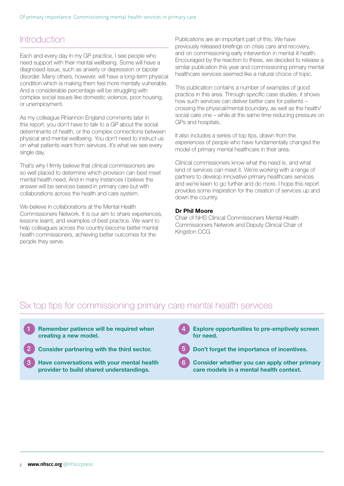### **Introduction**

Each and every day in my GP practice, I see people who need support with their mental wellbeing. Some will have a diagnosed issue, such as anxiety or depression or bipolar disorder. Many others, however, will have a long-term physical condition which is making them feel more mentally vulnerable. And a considerable percentage will be struggling with complex social issues like domestic violence, poor housing, or unemployment.

As my colleague Rhiannon England comments later in this report, you don't have to talk to a GP about the social determinants of health, or the complex connections between physical and mental wellbeing. You don't need to instruct us on what patients want from services. It's what we see every single day.

That's why I firmly believe that clinical commissioners are so well placed to determine which provision can best meet mental health need. And in many instances I believe the answer will be services based in primary care but with collaborations across the health and care system.

We believe in collaborations at the Mental Health Commissioners Network. It is our aim to share experiences, lessons learnt, and examples of best practice. We want to help colleagues across the country become better mental health commissioners, achieving better outcomes for the people they serve.

Publications are an important part of this. We have previously released briefings on crisis care and recovery, and on commissioning early intervention in mental ill health. Encouraged by the reaction to these, we decided to release a similar publication this year and commissioning primary mental healthcare services seemed like a natural choice of topic.

This publication contains a number of examples of good practice in this area. Through specific case studies, it shows how such services can deliver better care for patients – crossing the physical/mental boundary, as well as the health/ social care one – while at the same time reducing pressure on GPs and hospitals.

It also includes a series of top tips, drawn from the experiences of people who have fundamentally changed the model of primary mental healthcare in their area.

Clinical commissioners know what the need is, and what kind of services can meet it. We're working with a range of partners to develop innovative primary healthcare services and we're keen to go further and do more. I hope this report provides some inspiration for the creation of services up and down the country.

#### Dr Phil Moore

Chair of NHS Clinical Commissioners Mental Health Commissioners Network and Deputy Clinical Chair of Kingston CCG

### Six top tips for commissioning primary care mental health services

- 1 Remember patience will be required when **1 4** creating a new model.
- 2 Consider partnering with the third sector.
- 3 Have conversations with your mental health 6 provider to build shared understandings.
- Explore opportunities to pre-emptively screen for need.
- - Don't forget the importance of incentives.
	- Consider whether you can apply other primary care models in a mental health context.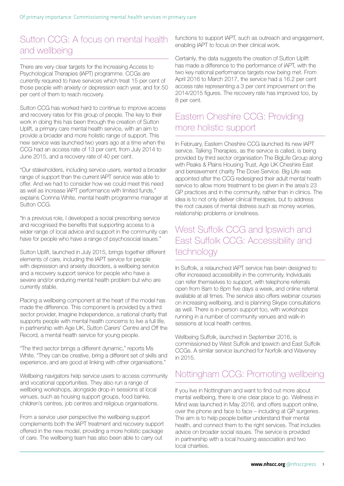## Sutton CCG: A focus on mental health and wellbeing

There are very clear targets for the Increasing Access to Psychological Therapies (IAPT) programme. CCGs are currently required to have services which treat 15 per cent of those people with anxiety or depression each year, and for 50 per cent of them to reach recovery.

Sutton CCG has worked hard to continue to improve access and recovery rates for this group of people. The key to their work in doing this has been through the creation of Sutton Uplift, a primary care mental health service, with an aim to provide a broader and more holistic range of support. This new service was launched two years ago at a time when the CCG had an access rate of 13 per cent, from July 2014 to June 2015, and a recovery rate of 40 per cent.

"Our stakeholders, including service users, wanted a broader range of support than the current IAPT service was able to offer. And we had to consider how we could meet this need as well as increase IAPT performance with limited funds," explains Corinna White, mental health programme manager at Sutton CCG.

"In a previous role, I developed a social prescribing service and recognised the benefits that supporting access to a wider range of local advice and support in the community can have for people who have a range of psychosocial issues."

Sutton Uplift, launched in July 2015, brings together different elements of care, including the IAPT service for people with depression and anxiety disorders, a wellbeing service and a recovery support service for people who have a severe and/or enduring mental health problem but who are currently stable.

Placing a wellbeing component at the heart of the model has made the difference. This component is provided by a third sector provider, Imagine Independence, a national charity that supports people with mental health concerns to live a full life, in partnership with Age UK, Sutton Carers' Centre and Off the Record, a mental health service for young people.

"The third sector brings a different dynamic," reports Ms White. "They can be creative, bring a different set of skills and experience, and are good at linking with other organisations."

Wellbeing navigators help service users to access community and vocational opportunities. They also run a range of wellbeing workshops, alongside drop-in sessions at local venues, such as housing support groups, food banks, children's centres, job centres and religious organisations.

From a service user perspective the wellbeing support complements both the IAPT treatment and recovery support offered in the new model, providing a more holistic package of care. The wellbeing team has also been able to carry out

functions to support IAPT, such as outreach and engagement, enabling IAPT to focus on their clinical work.

Certainly, the data suggests the creation of Sutton Uplift has made a difference to the performance of IAPT, with the two key national performance targets now being met. From April 2016 to March 2017, the service had a 16.2 per cent access rate representing a 3 per cent improvement on the 2014/2015 figures. The recovery rate has improved too, by 8 per cent.

## Eastern Cheshire CCG: Providing more holistic support

In February, Eastern Cheshire CCG launched its new IAPT service. Talking Therapies, as the service is called, is being provided by third sector organisation The BigLife Group along with Peaks & Plains Housing Trust, Age UK Cheshire East and bereavement charity The Dove Service. Big Life was appointed after the CCG redesigned their adult mental health service to allow more treatment to be given in the area's 23 GP practices and in the community, rather than in clinics. The idea is to not only deliver clinical therapies, but to address the root causes of mental distress such as money worries, relationship problems or loneliness.

#### West Suffolk CCG and Ipswich and East Suffolk CCG: Accessibility and technology

In Suffolk, a relaunched IAPT service has been designed to offer increased accessibility in the community. Individuals can refer themselves to support, with telephone referrals open from 8am to 8pm five days a week, and online referral available at all times. The service also offers webinar courses on increasing wellbeing, and is planning Skype consultations as well. There is in-person support too, with workshops running in a number of community venues and walk-in sessions at local health centres.

Wellbeing Suffolk, launched in September 2016, is commissioned by West Suffolk and Ipswich and East Suffolk CCGs. A similar service launched for Norfolk and Waveney in 2015.

### Nottingham CCG: Promoting wellbeing

If you live in Nottingham and want to find out more about mental wellbeing, there is one clear place to go. Wellness in Mind was launched in May 2016, and offers support online, over the phone and face to face – including at GP surgeries. The aim is to help people better understand their mental health, and connect them to the right services. That includes advice on broader social issues. The service is provided in partnership with a local housing association and two local charities.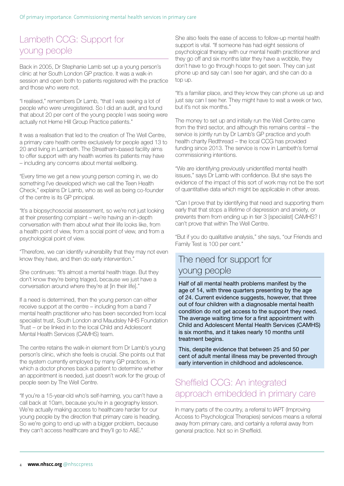## Lambeth CCG: Support for young people

Back in 2005, Dr Stephanie Lamb set up a young person's clinic at her South London GP practice. It was a walk-in session and open both to patients registered with the practice and those who were not.

"I realised," remembers Dr Lamb, "that I was seeing a lot of people who were unregistered. So I did an audit, and found that about 20 per cent of the young people I was seeing were actually not Herne Hill Group Practice patients."

It was a realisation that led to the creation of The Well Centre, a primary care health centre exclusively for people aged 13 to 20 and living in Lambeth. The Streatham-based facility aims to offer support with any health worries its patients may have – including any concerns about mental wellbeing.

"Every time we get a new young person coming in, we do something I've developed which we call the Teen Health Check," explains Dr Lamb, who as well as being co-founder of the centre is its GP principal.

"It's a biopsychosocial assessment, so we're not just looking at their presenting complaint – we're having an in-depth conversation with them about what their life looks like, from a health point of view, from a social point of view, and from a psychological point of view.

"Therefore, we can identify vulnerability that they may not even know they have, and then do early intervention."

She continues: "It's almost a mental health triage. But they don't know they're being triaged, because we just have a conversation around where they're at [in their life]."

If a need is determined, then the young person can either receive support at the centre – including from a band 7 mental health practitioner who has been seconded from local specialist trust, South London and Maudsley NHS Foundation Trust – or be linked in to the local Child and Adolescent Mental Health Services (CAMHS) team.

The centre retains the walk-in element from Dr Lamb's young person's clinic, which she feels is crucial. She points out that the system currently employed by many GP practices, in which a doctor phones back a patient to determine whether an appointment is needed, just doesn't work for the group of people seen by The Well Centre.

"If you're a 15-year-old who's self-harming, you can't have a call back at 10am, because you're in a geography lesson. We're actually making access to healthcare harder for our young people by the direction that primary care is heading. So we're going to end up with a bigger problem, because they can't access healthcare and they'll go to A&E."

She also feels the ease of access to follow-up mental health support is vital. "If someone has had eight sessions of psychological therapy with our mental health practitioner and they go off and six months later they have a wobble, they don't have to go through hoops to get seen. They can just phone up and say can I see her again, and she can do a top up.

"It's a familiar place, and they know they can phone us up and just say can I see her. They might have to wait a week or two, but it's not six months."

The money to set up and initially run the Well Centre came from the third sector, and although this remains central – the service is jointly run by Dr Lamb's GP practice and youth health charity Redthread – the local CCG has provided funding since 2013. The service is now in Lambeth's formal commissioning intentions.

"We are identifying previously unidentified mental health issues," says Dr Lamb with confidence. But she says the evidence of the impact of this sort of work may not be the sort of quantitative data which might be applicable in other areas.

"Can I prove that by identifying that need and supporting them early that that stops a lifetime of depression and anxiety, or prevents them from ending up in tier 3 [specialist] CAMHS? I can't prove that within The Well Centre.

"But if you do qualitative analysis," she says, "our Friends and Family Test is 100 per cent."

#### The need for support for young people

Half of all mental health problems manifest by the age of 14, with three quarters presenting by the age of 24. Current evidence suggests, however, that three out of four children with a diagnosable mental health condition do not get access to the support they need. The average waiting time for a first appointment with Child and Adolescent Mental Health Services (CAMHS) is six months, and it takes nearly 10 months until treatment begins.

This, despite evidence that between 25 and 50 per cent of adult mental illness may be prevented through early intervention in childhood and adolescence.

#### Sheffield CCG: An integrated approach embedded in primary care

In many parts of the country, a referral to IAPT (Improving Access to Psychological Therapies) services means a referral away from primary care, and certainly a referral away from general practice. Not so in Sheffield.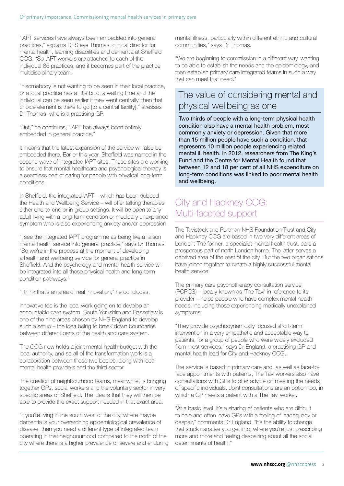"IAPT services have always been embedded into general practices," explains Dr Steve Thomas, clinical director for mental health, learning disabilities and dementia at Sheffield CCG. "So IAPT workers are attached to each of the individual 85 practices, and it becomes part of the practice multidisciplinary team.

"If somebody is not wanting to be seen in their local practice, or a local practice has a little bit of a waiting time and the individual can be seen earlier if they went centrally, then that choice element is there to go [to a central facility]," stresses Dr Thomas, who is a practising GP.

"But," he continues, "IAPT has always been entirely embedded in general practice."

It means that the latest expansion of the service will also be embedded there. Earlier this year, Sheffield was named in the second wave of integrated IAPT sites. These sites are working to ensure that mental healthcare and psychological therapy is a seamless part of caring for people with physical long-term conditions.

In Sheffield, the integrated IAPT – which has been dubbed the Health and Wellbeing Service – will offer talking therapies either one-to-one or in group settings. It will be open to any adult living with a long-term condition or medically unexplained symptom who is also experiencing anxiety and/or depression.

"I see the integrated IAPT programme as being like a liaison mental health service into general practice," says Dr Thomas. "So we're in the process at the moment of developing a health and wellbeing service for general practice in Sheffield. And the psychology and mental health service will be integrated into all those physical health and long-term condition pathways."

"I think that's an area of real innovation," he concludes.

Innovative too is the local work going on to develop an accountable care system. South Yorkshire and Bassetlaw is one of the nine areas chosen by NHS England to develop such a setup – the idea being to break down boundaries between different parts of the health and care system.

The CCG now holds a joint mental health budget with the local authority, and so all of the transformation work is a collaboration between those two bodies, along with local mental health providers and the third sector.

The creation of neighbourhood teams, meanwhile, is bringing together GPs, social workers and the voluntary sector in very specific areas of Sheffield. The idea is that they will then be able to provide the exact support needed in that exact area.

"If you're living in the south west of the city, where maybe dementia is your overarching epidemiological prevalence of disease, then you need a different type of integrated team operating in that neighbourhood compared to the north of the city where there is a higher prevalence of severe and enduring mental illness, particularly within different ethnic and cultural communities," says Dr Thomas.

"We are beginning to commission in a different way, wanting to be able to establish the needs and the epidemiology, and then establish primary care integrated teams in such a way that can meet that need."

## The value of considering mental and physical wellbeing as one

Two thirds of people with a long-term physical health condition also have a mental health problem, most commonly anxiety or depression. Given that more than 15 million people have such a condition, that represents 10 million people experiencing related mental ill health. In 2012, researchers from The King's Fund and the Centre for Mental Health found that between 12 and 18 per cent of all NHS expenditure on long-term conditions was linked to poor mental health and wellbeing.

## City and Hackney CCG: Multi-faceted support

The Tavistock and Portman NHS Foundation Trust and City and Hackney CCG are based in two very different areas of London. The former, a specialist mental health trust, calls a prosperous part of north London home. The latter serves a deprived area of the east of the city. But the two organisations have joined together to create a highly successful mental health service.

The primary care psychotherapy consultation service (PCPCS) – locally known as 'The Tavi' in reference to its provider – helps people who have complex mental health needs, including those experiencing medically unexplained symptoms.

"They provide psychodynamically focused short-term intervention in a very empathetic and acceptable way to patients, for a group of people who were widely excluded from most services," says Dr England, a practising GP and mental health lead for City and Hackney CCG.

The service is based in primary care and, as well as face-toface appointments with patients, The Tavi workers also have consultations with GPs to offer advice on meeting the needs of specific individuals. Joint consultations are an option too, in which a GP meets a patient with a The Tavi worker.

"At a basic level, it's a sharing of patients who are difficult to help and often leave GPs with a feeling of inadequacy or despair," comments Dr England. "It's the ability to change that stuck narrative you get into, where you're just prescribing more and more and feeling despairing about all the social determinants of health."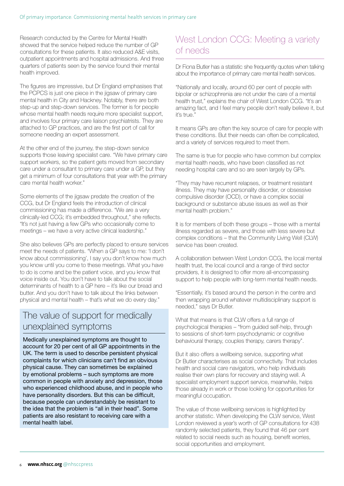Research conducted by the Centre for Mental Health showed that the service helped reduce the number of GP consultations for these patients. It also reduced A&E visits, outpatient appointments and hospital admissions. And three quarters of patients seen by the service found their mental health improved.

The figures are impressive, but Dr England emphasises that the PCPCS is just one piece in the jigsaw of primary care mental health in City and Hackney. Notably, there are both step-up and step-down services. The former is for people whose mental health needs require more specialist support, and involves four primary care liaison psychiatrists. They are attached to GP practices, and are the first port of call for someone needing an expert assessment.

At the other end of the journey, the step-down service supports those leaving specialist care. "We have primary care support workers, so the patient gets moved from secondary care under a consultant to primary care under a GP, but they get a minimum of four consultations that year with the primary care mental health worker."

Some elements of the jigsaw predate the creation of the CCG, but Dr England feels the introduction of clinical commissioning has made a difference. "We are a very clinically-led CCG; it's embedded throughout," she reflects. "It's not just having a few GPs who occasionally come to meetings – we have a very active clinical leadership."

She also believes GPs are perfectly placed to ensure services meet the needs of patients. "When a GP says to me: 'I don't know about commissioning', I say you don't know how much you know until you come to these meetings. What you have to do is come and be the patient voice, and you know that voice inside out. You don't have to talk about the social determinants of health to a GP here – it's like our bread and butter. And you don't have to talk about the links between physical and mental health – that's what we do every day."

### The value of support for medically unexplained symptoms

Medically unexplained symptoms are thought to account for 20 per cent of all GP appointments in the UK. The term is used to describe persistent physical complaints for which clinicians can't find an obvious physical cause. They can sometimes be explained by emotional problems – such symptoms are more common in people with anxiety and depression, those who experienced childhood abuse, and in people who have personality disorders. But this can be difficult, because people can understandably be resistant to the idea that the problem is "all in their head". Some patients are also resistant to receiving care with a mental health label.

## West London CCG: Meeting a variety of needs

Dr Fiona Butler has a statistic she frequently quotes when talking about the importance of primary care mental health services.

"Nationally and locally, around 60 per cent of people with bipolar or schizophrenia are not under the care of a mental health trust," explains the chair of West London CCG. "It's an amazing fact, and I feel many people don't really believe it, but it's true."

It means GPs are often the key source of care for people with these conditions. But their needs can often be complicated, and a variety of services required to meet them.

The same is true for people who have common but complex mental health needs, who have been classified as not needing hospital care and so are seen largely by GPs.

"They may have recurrent relapses, or treatment resistant illness. They may have personality disorder, or obsessive compulsive disorder (OCD), or have a complex social background or substance abuse issues as well as their mental health problem."

It is for members of both these groups – those with a mental illness regarded as severe, and those with less severe but complex conditions – that the Community Living Well (CLW) service has been created.

A collaboration between West London CCG, the local mental health trust, the local council and a range of third sector providers, it is designed to offer more all-encompassing support to help people with long-term mental health needs.

"Essentially, it's based around the person in the centre and then wrapping around whatever multidisciplinary support is needed," says Dr Butler.

What that means is that CLW offers a full range of psychological therapies – "from guided self-help, through to sessions of short-term psychodynamic or cognitive behavioural therapy, couples therapy, carers therapy".

But it also offers a wellbeing service, supporting what Dr Butler characterises as social connectivity. That includes health and social care navigators, who help individuals realise their own plans for recovery and staying well. A specialist employment support service, meanwhile, helps those already in work or those looking for opportunities for meaningful occupation.

The value of those wellbeing services is highlighted by another statistic. When developing the CLW service, West London reviewed a year's worth of GP consultations for 438 randomly selected patients, they found that 46 per cent related to social needs such as housing, benefit worries, social opportunities and employment.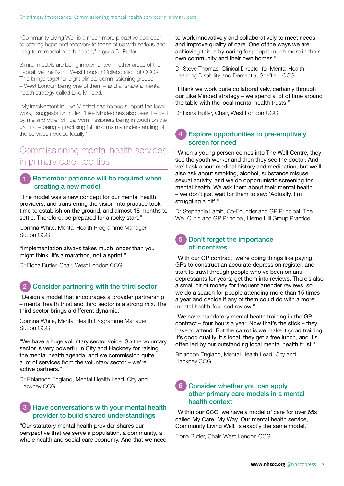"Community Living Well is a much more proactive approach to offering hope and recovery to those of us with serious and long-term mental health needs," argues Dr Butler.

Similar models are being implemented in other areas of the capital, via the North West London Collaboration of CCGs. This brings together eight clinical commissioning groups – West London being one of them – and all share a mental health strategy called Like Minded.

"My involvement in Like Minded has helped support the local work," suggests Dr Butler. "Like Minded has also been helped by me and other clinical commissioners being in touch on the ground – being a practising GP informs my understanding of the services needed locally."

#### Commissioning mental health services in primary care: top tips

#### Remember patience will be required when creating a new model 1

"The model was a new concept for our mental health providers, and transferring the vision into practice took time to establish on the ground, and almost 18 months to settle. Therefore, be prepared for a rocky start."

Corinna White, Mental Health Programme Manager, Sutton CCG

"Implementation always takes much longer than you might think. It's a marathon, not a sprint."

Dr Fiona Butler, Chair, West London CCG

#### Consider partnering with the third sector 2

"Design a model that encourages a provider partnership – mental health trust and third sector is a strong mix. The third sector brings a different dynamic."

Corinna White, Mental Health Programme Manager, Sutton CCG

"We have a huge voluntary sector voice. So the voluntary sector is very powerful in City and Hackney for raising the mental health agenda, and we commission quite a lot of services from the voluntary sector – we're active partners."

Dr Rhiannon England, Mental Health Lead, City and Hackney CCG

#### Have conversations with your mental health provider to build shared understandings 3

"Our statutory mental health provider shares our perspective that we serve a population, a community, a whole health and social care economy. And that we need to work innovatively and collaboratively to meet needs and improve quality of care. One of the ways we are achieving this is by caring for people much more in their own community and their own homes."

Dr Steve Thomas, Clinical Director for Mental Health, Learning Disability and Dementia, Sheffield CCG

"I think we work quite collaboratively, certainly through our Like Minded strategy – we spend a lot of time around the table with the local mental health trusts."

Dr Fiona Butler, Chair, West London CCG

#### Explore opportunities to pre-emptively screen for need 4

"When a young person comes into The Well Centre, they see the youth worker and then they see the doctor. And we'll ask about medical history and medication, but we'll also ask about smoking, alcohol, substance misuse, sexual activity, and we do opportunistic screening for mental health. We ask them about their mental health – we don't just wait for them to say: 'Actually, I'm struggling a bit'."

Dr Stephanie Lamb, Co-Founder and GP Principal, The Well Clinic and GP Principal, Herne Hill Group Practice

#### Don't forget the importance of incentives 5

"With our GP contract, we're doing things like paying GPs to construct an accurate depression register, and start to trawl through people who've been on antidepressants for years; get them into reviews. There's also a small bit of money for frequent attender reviews, so we do a search for people attending more than 15 times a year and decide if any of them could do with a more mental health-focused review."

"We have mandatory mental health training in the GP contract – four hours a year. Now that's the stick – they have to attend. But the carrot is we make it good training. It's good quality, it's local, they get a free lunch, and it's often led by our outstanding local mental health trust."

Rhiannon England, Mental Health Lead, City and Hackney CCG

#### Consider whether you can apply 6other primary care models in a mental health context

"Within our CCG, we have a model of care for over 65s called My Care, My Way. Our mental health service, Community Living Well, is exactly the same model."

Fiona Butler, Chair, West London CCG